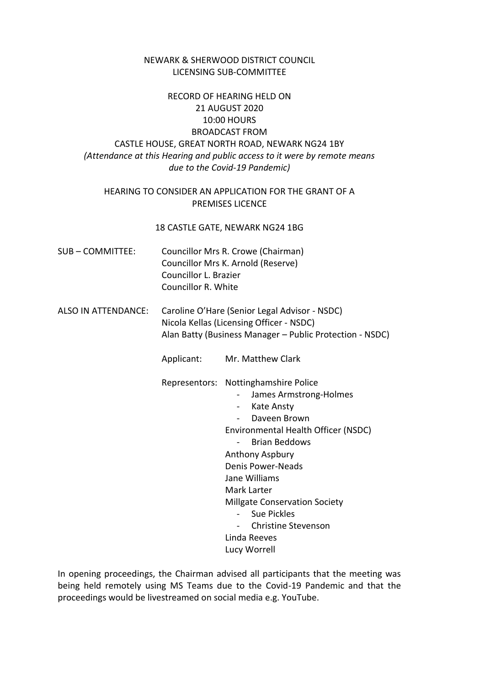### NEWARK & SHERWOOD DISTRICT COUNCIL LICENSING SUB-COMMITTEE

# RECORD OF HEARING HELD ON 21 AUGUST 2020 10:00 HOURS BROADCAST FROM CASTLE HOUSE, GREAT NORTH ROAD, NEWARK NG24 1BY *(Attendance at this Hearing and public access to it were by remote means due to the Covid-19 Pandemic)*

### HEARING TO CONSIDER AN APPLICATION FOR THE GRANT OF A PREMISES LICENCE

### 18 CASTLE GATE, NEWARK NG24 1BG

- SUB COMMITTEE: Councillor Mrs R. Crowe (Chairman) Councillor Mrs K. Arnold (Reserve) Councillor L. Brazier Councillor R. White
- ALSO IN ATTENDANCE: Caroline O'Hare (Senior Legal Advisor NSDC) Nicola Kellas (Licensing Officer - NSDC) Alan Batty (Business Manager – Public Protection - NSDC)

Applicant: Mr. Matthew Clark

Representors: Nottinghamshire Police

- James Armstrong-Holmes
- Kate Ansty
- Daveen Brown
- Environmental Health Officer (NSDC)
	- Brian Beddows
- Anthony Aspbury Denis Power-Neads
- Jane Williams
- Mark Larter
- Millgate Conservation Society
	- Sue Pickles
	- Christine Stevenson
- Linda Reeves
- Lucy Worrell

In opening proceedings, the Chairman advised all participants that the meeting was being held remotely using MS Teams due to the Covid-19 Pandemic and that the proceedings would be livestreamed on social media e.g. YouTube.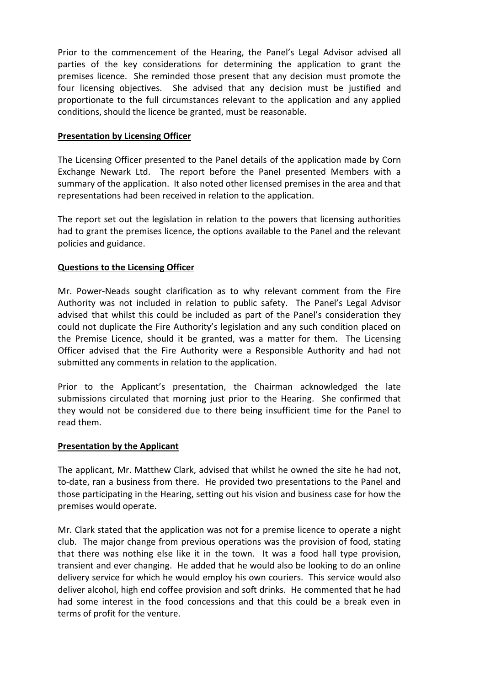Prior to the commencement of the Hearing, the Panel's Legal Advisor advised all parties of the key considerations for determining the application to grant the premises licence. She reminded those present that any decision must promote the four licensing objectives. She advised that any decision must be justified and proportionate to the full circumstances relevant to the application and any applied conditions, should the licence be granted, must be reasonable.

## **Presentation by Licensing Officer**

The Licensing Officer presented to the Panel details of the application made by Corn Exchange Newark Ltd. The report before the Panel presented Members with a summary of the application. It also noted other licensed premises in the area and that representations had been received in relation to the application.

The report set out the legislation in relation to the powers that licensing authorities had to grant the premises licence, the options available to the Panel and the relevant policies and guidance.

## **Questions to the Licensing Officer**

Mr. Power-Neads sought clarification as to why relevant comment from the Fire Authority was not included in relation to public safety. The Panel's Legal Advisor advised that whilst this could be included as part of the Panel's consideration they could not duplicate the Fire Authority's legislation and any such condition placed on the Premise Licence, should it be granted, was a matter for them. The Licensing Officer advised that the Fire Authority were a Responsible Authority and had not submitted any comments in relation to the application.

Prior to the Applicant's presentation, the Chairman acknowledged the late submissions circulated that morning just prior to the Hearing. She confirmed that they would not be considered due to there being insufficient time for the Panel to read them.

### **Presentation by the Applicant**

The applicant, Mr. Matthew Clark, advised that whilst he owned the site he had not, to-date, ran a business from there. He provided two presentations to the Panel and those participating in the Hearing, setting out his vision and business case for how the premises would operate.

Mr. Clark stated that the application was not for a premise licence to operate a night club. The major change from previous operations was the provision of food, stating that there was nothing else like it in the town. It was a food hall type provision, transient and ever changing. He added that he would also be looking to do an online delivery service for which he would employ his own couriers. This service would also deliver alcohol, high end coffee provision and soft drinks. He commented that he had had some interest in the food concessions and that this could be a break even in terms of profit for the venture.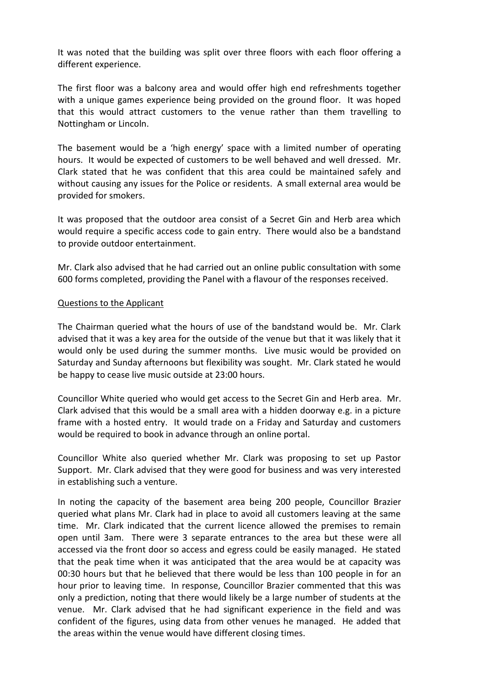It was noted that the building was split over three floors with each floor offering a different experience.

The first floor was a balcony area and would offer high end refreshments together with a unique games experience being provided on the ground floor. It was hoped that this would attract customers to the venue rather than them travelling to Nottingham or Lincoln.

The basement would be a 'high energy' space with a limited number of operating hours. It would be expected of customers to be well behaved and well dressed. Mr. Clark stated that he was confident that this area could be maintained safely and without causing any issues for the Police or residents. A small external area would be provided for smokers.

It was proposed that the outdoor area consist of a Secret Gin and Herb area which would require a specific access code to gain entry. There would also be a bandstand to provide outdoor entertainment.

Mr. Clark also advised that he had carried out an online public consultation with some 600 forms completed, providing the Panel with a flavour of the responses received.

#### Questions to the Applicant

The Chairman queried what the hours of use of the bandstand would be. Mr. Clark advised that it was a key area for the outside of the venue but that it was likely that it would only be used during the summer months. Live music would be provided on Saturday and Sunday afternoons but flexibility was sought. Mr. Clark stated he would be happy to cease live music outside at 23:00 hours.

Councillor White queried who would get access to the Secret Gin and Herb area. Mr. Clark advised that this would be a small area with a hidden doorway e.g. in a picture frame with a hosted entry. It would trade on a Friday and Saturday and customers would be required to book in advance through an online portal.

Councillor White also queried whether Mr. Clark was proposing to set up Pastor Support. Mr. Clark advised that they were good for business and was very interested in establishing such a venture.

In noting the capacity of the basement area being 200 people, Councillor Brazier queried what plans Mr. Clark had in place to avoid all customers leaving at the same time. Mr. Clark indicated that the current licence allowed the premises to remain open until 3am. There were 3 separate entrances to the area but these were all accessed via the front door so access and egress could be easily managed. He stated that the peak time when it was anticipated that the area would be at capacity was 00:30 hours but that he believed that there would be less than 100 people in for an hour prior to leaving time. In response, Councillor Brazier commented that this was only a prediction, noting that there would likely be a large number of students at the venue. Mr. Clark advised that he had significant experience in the field and was confident of the figures, using data from other venues he managed. He added that the areas within the venue would have different closing times.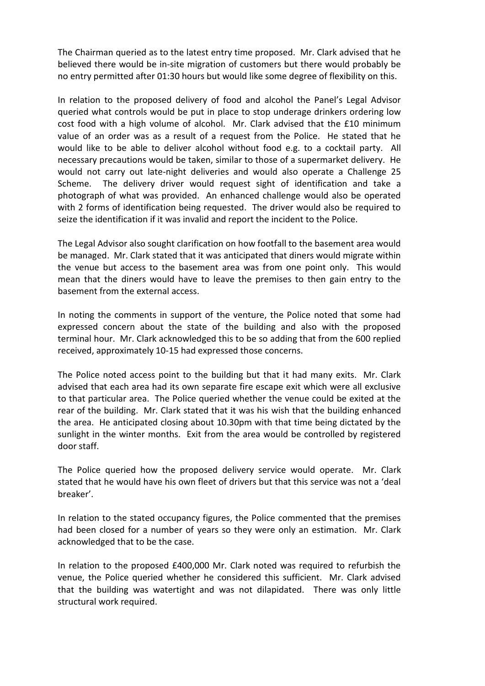The Chairman queried as to the latest entry time proposed. Mr. Clark advised that he believed there would be in-site migration of customers but there would probably be no entry permitted after 01:30 hours but would like some degree of flexibility on this.

In relation to the proposed delivery of food and alcohol the Panel's Legal Advisor queried what controls would be put in place to stop underage drinkers ordering low cost food with a high volume of alcohol. Mr. Clark advised that the £10 minimum value of an order was as a result of a request from the Police. He stated that he would like to be able to deliver alcohol without food e.g. to a cocktail party. All necessary precautions would be taken, similar to those of a supermarket delivery. He would not carry out late-night deliveries and would also operate a Challenge 25 Scheme. The delivery driver would request sight of identification and take a photograph of what was provided. An enhanced challenge would also be operated with 2 forms of identification being requested. The driver would also be required to seize the identification if it was invalid and report the incident to the Police.

The Legal Advisor also sought clarification on how footfall to the basement area would be managed. Mr. Clark stated that it was anticipated that diners would migrate within the venue but access to the basement area was from one point only. This would mean that the diners would have to leave the premises to then gain entry to the basement from the external access.

In noting the comments in support of the venture, the Police noted that some had expressed concern about the state of the building and also with the proposed terminal hour. Mr. Clark acknowledged this to be so adding that from the 600 replied received, approximately 10-15 had expressed those concerns.

The Police noted access point to the building but that it had many exits. Mr. Clark advised that each area had its own separate fire escape exit which were all exclusive to that particular area. The Police queried whether the venue could be exited at the rear of the building. Mr. Clark stated that it was his wish that the building enhanced the area. He anticipated closing about 10.30pm with that time being dictated by the sunlight in the winter months. Exit from the area would be controlled by registered door staff.

The Police queried how the proposed delivery service would operate. Mr. Clark stated that he would have his own fleet of drivers but that this service was not a 'deal breaker'.

In relation to the stated occupancy figures, the Police commented that the premises had been closed for a number of years so they were only an estimation. Mr. Clark acknowledged that to be the case.

In relation to the proposed £400,000 Mr. Clark noted was required to refurbish the venue, the Police queried whether he considered this sufficient. Mr. Clark advised that the building was watertight and was not dilapidated. There was only little structural work required.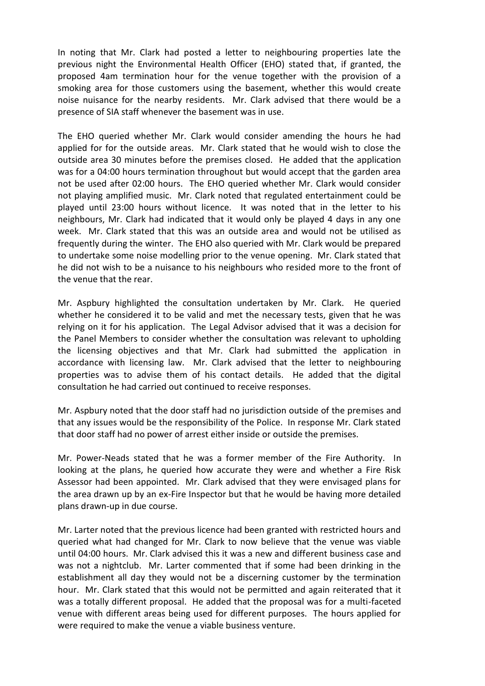In noting that Mr. Clark had posted a letter to neighbouring properties late the previous night the Environmental Health Officer (EHO) stated that, if granted, the proposed 4am termination hour for the venue together with the provision of a smoking area for those customers using the basement, whether this would create noise nuisance for the nearby residents. Mr. Clark advised that there would be a presence of SIA staff whenever the basement was in use.

The EHO queried whether Mr. Clark would consider amending the hours he had applied for for the outside areas. Mr. Clark stated that he would wish to close the outside area 30 minutes before the premises closed. He added that the application was for a 04:00 hours termination throughout but would accept that the garden area not be used after 02:00 hours. The EHO queried whether Mr. Clark would consider not playing amplified music. Mr. Clark noted that regulated entertainment could be played until 23:00 hours without licence. It was noted that in the letter to his neighbours, Mr. Clark had indicated that it would only be played 4 days in any one week. Mr. Clark stated that this was an outside area and would not be utilised as frequently during the winter. The EHO also queried with Mr. Clark would be prepared to undertake some noise modelling prior to the venue opening. Mr. Clark stated that he did not wish to be a nuisance to his neighbours who resided more to the front of the venue that the rear.

Mr. Aspbury highlighted the consultation undertaken by Mr. Clark. He queried whether he considered it to be valid and met the necessary tests, given that he was relying on it for his application. The Legal Advisor advised that it was a decision for the Panel Members to consider whether the consultation was relevant to upholding the licensing objectives and that Mr. Clark had submitted the application in accordance with licensing law. Mr. Clark advised that the letter to neighbouring properties was to advise them of his contact details. He added that the digital consultation he had carried out continued to receive responses.

Mr. Aspbury noted that the door staff had no jurisdiction outside of the premises and that any issues would be the responsibility of the Police. In response Mr. Clark stated that door staff had no power of arrest either inside or outside the premises.

Mr. Power-Neads stated that he was a former member of the Fire Authority. In looking at the plans, he queried how accurate they were and whether a Fire Risk Assessor had been appointed. Mr. Clark advised that they were envisaged plans for the area drawn up by an ex-Fire Inspector but that he would be having more detailed plans drawn-up in due course.

Mr. Larter noted that the previous licence had been granted with restricted hours and queried what had changed for Mr. Clark to now believe that the venue was viable until 04:00 hours. Mr. Clark advised this it was a new and different business case and was not a nightclub. Mr. Larter commented that if some had been drinking in the establishment all day they would not be a discerning customer by the termination hour. Mr. Clark stated that this would not be permitted and again reiterated that it was a totally different proposal. He added that the proposal was for a multi-faceted venue with different areas being used for different purposes. The hours applied for were required to make the venue a viable business venture.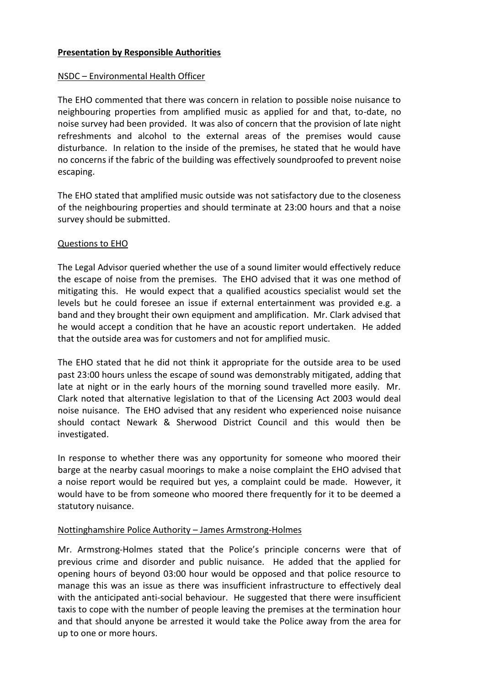## **Presentation by Responsible Authorities**

## NSDC – Environmental Health Officer

The EHO commented that there was concern in relation to possible noise nuisance to neighbouring properties from amplified music as applied for and that, to-date, no noise survey had been provided. It was also of concern that the provision of late night refreshments and alcohol to the external areas of the premises would cause disturbance. In relation to the inside of the premises, he stated that he would have no concerns if the fabric of the building was effectively soundproofed to prevent noise escaping.

The EHO stated that amplified music outside was not satisfactory due to the closeness of the neighbouring properties and should terminate at 23:00 hours and that a noise survey should be submitted.

### Questions to EHO

The Legal Advisor queried whether the use of a sound limiter would effectively reduce the escape of noise from the premises. The EHO advised that it was one method of mitigating this. He would expect that a qualified acoustics specialist would set the levels but he could foresee an issue if external entertainment was provided e.g. a band and they brought their own equipment and amplification. Mr. Clark advised that he would accept a condition that he have an acoustic report undertaken. He added that the outside area was for customers and not for amplified music.

The EHO stated that he did not think it appropriate for the outside area to be used past 23:00 hours unless the escape of sound was demonstrably mitigated, adding that late at night or in the early hours of the morning sound travelled more easily. Mr. Clark noted that alternative legislation to that of the Licensing Act 2003 would deal noise nuisance. The EHO advised that any resident who experienced noise nuisance should contact Newark & Sherwood District Council and this would then be investigated.

In response to whether there was any opportunity for someone who moored their barge at the nearby casual moorings to make a noise complaint the EHO advised that a noise report would be required but yes, a complaint could be made. However, it would have to be from someone who moored there frequently for it to be deemed a statutory nuisance.

### Nottinghamshire Police Authority – James Armstrong-Holmes

Mr. Armstrong-Holmes stated that the Police's principle concerns were that of previous crime and disorder and public nuisance. He added that the applied for opening hours of beyond 03:00 hour would be opposed and that police resource to manage this was an issue as there was insufficient infrastructure to effectively deal with the anticipated anti-social behaviour. He suggested that there were insufficient taxis to cope with the number of people leaving the premises at the termination hour and that should anyone be arrested it would take the Police away from the area for up to one or more hours.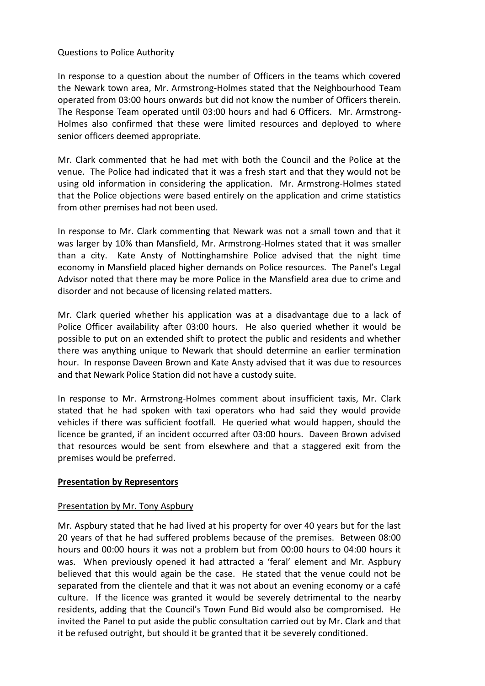## Questions to Police Authority

In response to a question about the number of Officers in the teams which covered the Newark town area, Mr. Armstrong-Holmes stated that the Neighbourhood Team operated from 03:00 hours onwards but did not know the number of Officers therein. The Response Team operated until 03:00 hours and had 6 Officers. Mr. Armstrong-Holmes also confirmed that these were limited resources and deployed to where senior officers deemed appropriate.

Mr. Clark commented that he had met with both the Council and the Police at the venue. The Police had indicated that it was a fresh start and that they would not be using old information in considering the application. Mr. Armstrong-Holmes stated that the Police objections were based entirely on the application and crime statistics from other premises had not been used.

In response to Mr. Clark commenting that Newark was not a small town and that it was larger by 10% than Mansfield, Mr. Armstrong-Holmes stated that it was smaller than a city. Kate Ansty of Nottinghamshire Police advised that the night time economy in Mansfield placed higher demands on Police resources. The Panel's Legal Advisor noted that there may be more Police in the Mansfield area due to crime and disorder and not because of licensing related matters.

Mr. Clark queried whether his application was at a disadvantage due to a lack of Police Officer availability after 03:00 hours. He also queried whether it would be possible to put on an extended shift to protect the public and residents and whether there was anything unique to Newark that should determine an earlier termination hour. In response Daveen Brown and Kate Ansty advised that it was due to resources and that Newark Police Station did not have a custody suite.

In response to Mr. Armstrong-Holmes comment about insufficient taxis, Mr. Clark stated that he had spoken with taxi operators who had said they would provide vehicles if there was sufficient footfall. He queried what would happen, should the licence be granted, if an incident occurred after 03:00 hours. Daveen Brown advised that resources would be sent from elsewhere and that a staggered exit from the premises would be preferred.

# **Presentation by Representors**

### Presentation by Mr. Tony Aspbury

Mr. Aspbury stated that he had lived at his property for over 40 years but for the last 20 years of that he had suffered problems because of the premises. Between 08:00 hours and 00:00 hours it was not a problem but from 00:00 hours to 04:00 hours it was. When previously opened it had attracted a 'feral' element and Mr. Aspbury believed that this would again be the case. He stated that the venue could not be separated from the clientele and that it was not about an evening economy or a café culture. If the licence was granted it would be severely detrimental to the nearby residents, adding that the Council's Town Fund Bid would also be compromised. He invited the Panel to put aside the public consultation carried out by Mr. Clark and that it be refused outright, but should it be granted that it be severely conditioned.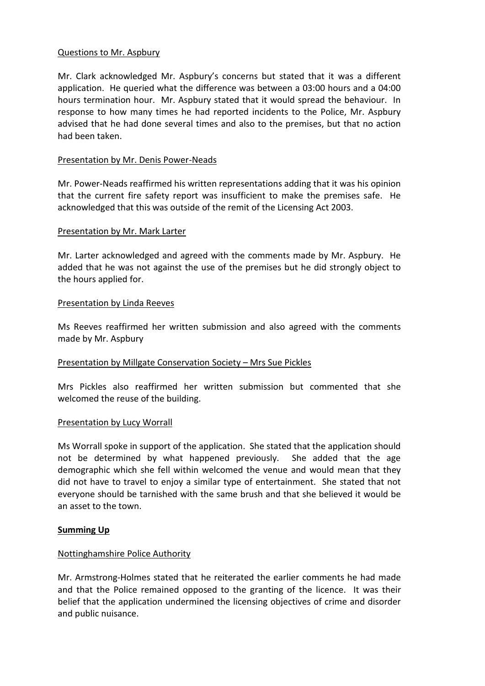#### Questions to Mr. Aspbury

Mr. Clark acknowledged Mr. Aspbury's concerns but stated that it was a different application. He queried what the difference was between a 03:00 hours and a 04:00 hours termination hour. Mr. Aspbury stated that it would spread the behaviour. In response to how many times he had reported incidents to the Police, Mr. Aspbury advised that he had done several times and also to the premises, but that no action had been taken.

#### Presentation by Mr. Denis Power-Neads

Mr. Power-Neads reaffirmed his written representations adding that it was his opinion that the current fire safety report was insufficient to make the premises safe. He acknowledged that this was outside of the remit of the Licensing Act 2003.

#### Presentation by Mr. Mark Larter

Mr. Larter acknowledged and agreed with the comments made by Mr. Aspbury. He added that he was not against the use of the premises but he did strongly object to the hours applied for.

#### Presentation by Linda Reeves

Ms Reeves reaffirmed her written submission and also agreed with the comments made by Mr. Aspbury

### Presentation by Millgate Conservation Society – Mrs Sue Pickles

Mrs Pickles also reaffirmed her written submission but commented that she welcomed the reuse of the building.

#### Presentation by Lucy Worrall

Ms Worrall spoke in support of the application. She stated that the application should not be determined by what happened previously. She added that the age demographic which she fell within welcomed the venue and would mean that they did not have to travel to enjoy a similar type of entertainment. She stated that not everyone should be tarnished with the same brush and that she believed it would be an asset to the town.

### **Summing Up**

### Nottinghamshire Police Authority

Mr. Armstrong-Holmes stated that he reiterated the earlier comments he had made and that the Police remained opposed to the granting of the licence. It was their belief that the application undermined the licensing objectives of crime and disorder and public nuisance.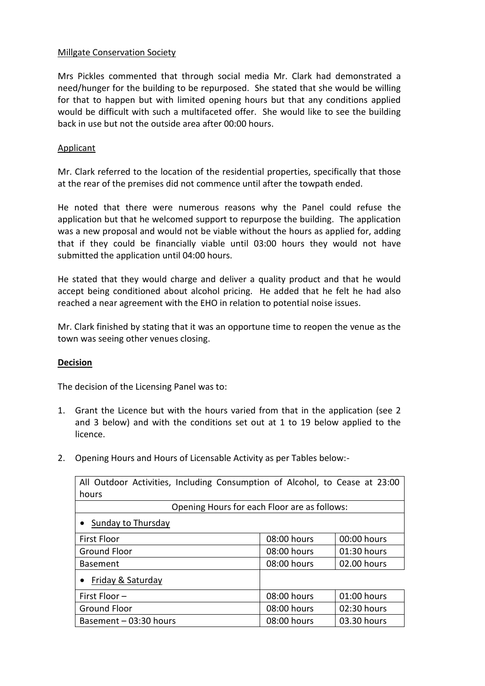## Millgate Conservation Society

Mrs Pickles commented that through social media Mr. Clark had demonstrated a need/hunger for the building to be repurposed. She stated that she would be willing for that to happen but with limited opening hours but that any conditions applied would be difficult with such a multifaceted offer. She would like to see the building back in use but not the outside area after 00:00 hours.

## Applicant

Mr. Clark referred to the location of the residential properties, specifically that those at the rear of the premises did not commence until after the towpath ended.

He noted that there were numerous reasons why the Panel could refuse the application but that he welcomed support to repurpose the building. The application was a new proposal and would not be viable without the hours as applied for, adding that if they could be financially viable until 03:00 hours they would not have submitted the application until 04:00 hours.

He stated that they would charge and deliver a quality product and that he would accept being conditioned about alcohol pricing. He added that he felt he had also reached a near agreement with the EHO in relation to potential noise issues.

Mr. Clark finished by stating that it was an opportune time to reopen the venue as the town was seeing other venues closing.

# **Decision**

The decision of the Licensing Panel was to:

- 1. Grant the Licence but with the hours varied from that in the application (see 2 and 3 below) and with the conditions set out at 1 to 19 below applied to the licence.
- 2. Opening Hours and Hours of Licensable Activity as per Tables below:-

| All Outdoor Activities, Including Consumption of Alcohol, to Cease at 23:00 |             |             |
|-----------------------------------------------------------------------------|-------------|-------------|
| hours                                                                       |             |             |
| Opening Hours for each Floor are as follows:                                |             |             |
| • Sunday to Thursday                                                        |             |             |
| <b>First Floor</b>                                                          | 08:00 hours | 00:00 hours |
| <b>Ground Floor</b>                                                         | 08:00 hours | 01:30 hours |
| <b>Basement</b>                                                             | 08:00 hours | 02.00 hours |
| • Friday & Saturday                                                         |             |             |
| First Floor-                                                                | 08:00 hours | 01:00 hours |
| <b>Ground Floor</b>                                                         | 08:00 hours | 02:30 hours |
| Basement - 03:30 hours                                                      | 08:00 hours | 03.30 hours |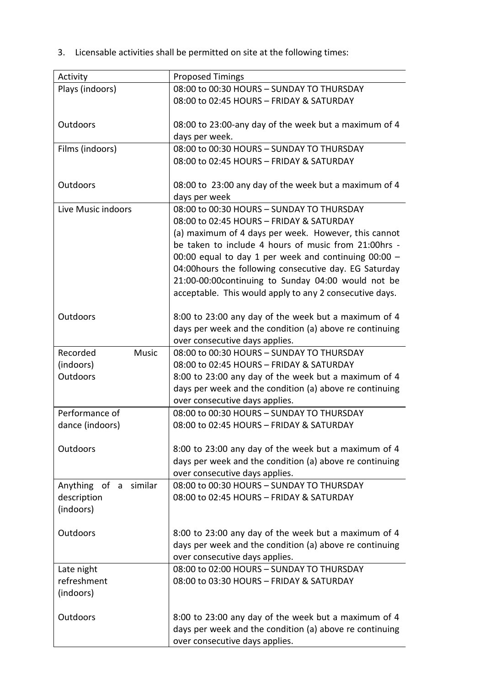3. Licensable activities shall be permitted on site at the following times:

| Activity                 | <b>Proposed Timings</b>                                 |
|--------------------------|---------------------------------------------------------|
| Plays (indoors)          | 08:00 to 00:30 HOURS - SUNDAY TO THURSDAY               |
|                          | 08:00 to 02:45 HOURS - FRIDAY & SATURDAY                |
|                          |                                                         |
| Outdoors                 | 08:00 to 23:00-any day of the week but a maximum of 4   |
|                          | days per week.                                          |
| Films (indoors)          | 08:00 to 00:30 HOURS - SUNDAY TO THURSDAY               |
|                          | 08:00 to 02:45 HOURS - FRIDAY & SATURDAY                |
|                          |                                                         |
| Outdoors                 | 08:00 to 23:00 any day of the week but a maximum of 4   |
|                          | days per week                                           |
| Live Music indoors       | 08:00 to 00:30 HOURS - SUNDAY TO THURSDAY               |
|                          | 08:00 to 02:45 HOURS - FRIDAY & SATURDAY                |
|                          | (a) maximum of 4 days per week. However, this cannot    |
|                          | be taken to include 4 hours of music from 21:00hrs -    |
|                          | 00:00 equal to day 1 per week and continuing $00:00 -$  |
|                          | 04:00 hours the following consecutive day. EG Saturday  |
|                          | 21:00-00:00continuing to Sunday 04:00 would not be      |
|                          | acceptable. This would apply to any 2 consecutive days. |
|                          |                                                         |
| Outdoors                 | 8:00 to 23:00 any day of the week but a maximum of 4    |
|                          | days per week and the condition (a) above re continuing |
|                          | over consecutive days applies.                          |
| Recorded<br><b>Music</b> | 08:00 to 00:30 HOURS - SUNDAY TO THURSDAY               |
| (indoors)                | 08:00 to 02:45 HOURS - FRIDAY & SATURDAY                |
| Outdoors                 | 8:00 to 23:00 any day of the week but a maximum of 4    |
|                          | days per week and the condition (a) above re continuing |
|                          | over consecutive days applies.                          |
| Performance of           | 08:00 to 00:30 HOURS - SUNDAY TO THURSDAY               |
| dance (indoors)          | 08:00 to 02:45 HOURS - FRIDAY & SATURDAY                |
|                          |                                                         |
| Outdoors                 | 8:00 to 23:00 any day of the week but a maximum of 4    |
|                          | days per week and the condition (a) above re continuing |
|                          | over consecutive days applies.                          |
| Anything of a<br>similar | 08:00 to 00:30 HOURS - SUNDAY TO THURSDAY               |
| description              | 08:00 to 02:45 HOURS - FRIDAY & SATURDAY                |
| (indoors)                |                                                         |
|                          |                                                         |
| Outdoors                 | 8:00 to 23:00 any day of the week but a maximum of 4    |
|                          | days per week and the condition (a) above re continuing |
|                          | over consecutive days applies.                          |
| Late night               | 08:00 to 02:00 HOURS - SUNDAY TO THURSDAY               |
| refreshment              | 08:00 to 03:30 HOURS - FRIDAY & SATURDAY                |
| (indoors)                |                                                         |
|                          |                                                         |
| Outdoors                 | 8:00 to 23:00 any day of the week but a maximum of 4    |
|                          | days per week and the condition (a) above re continuing |
|                          | over consecutive days applies.                          |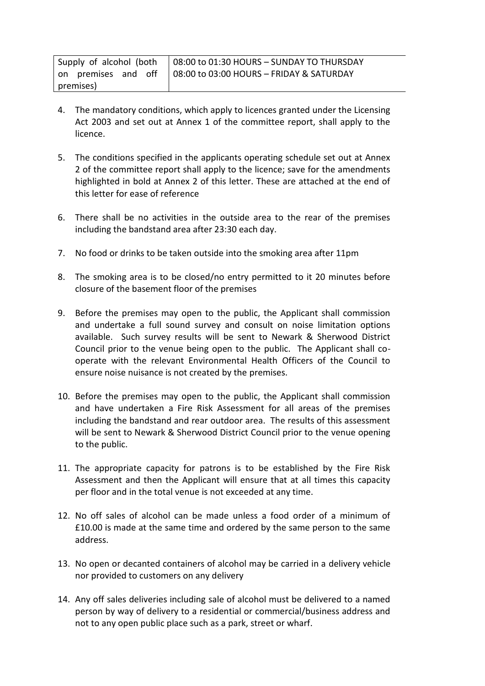|           | Supply of alcohol (both   08:00 to 01:30 HOURS - SUNDAY TO THURSDAY  |
|-----------|----------------------------------------------------------------------|
|           | on premises and off $\vert$ 08:00 to 03:00 HOURS - FRIDAY & SATURDAY |
| premises) |                                                                      |

- 4. The mandatory conditions, which apply to licences granted under the Licensing Act 2003 and set out at Annex 1 of the committee report, shall apply to the licence.
- 5. The conditions specified in the applicants operating schedule set out at Annex 2 of the committee report shall apply to the licence; save for the amendments highlighted in bold at Annex 2 of this letter. These are attached at the end of this letter for ease of reference
- 6. There shall be no activities in the outside area to the rear of the premises including the bandstand area after 23:30 each day.
- 7. No food or drinks to be taken outside into the smoking area after 11pm
- 8. The smoking area is to be closed/no entry permitted to it 20 minutes before closure of the basement floor of the premises
- 9. Before the premises may open to the public, the Applicant shall commission and undertake a full sound survey and consult on noise limitation options available. Such survey results will be sent to Newark & Sherwood District Council prior to the venue being open to the public. The Applicant shall cooperate with the relevant Environmental Health Officers of the Council to ensure noise nuisance is not created by the premises.
- 10. Before the premises may open to the public, the Applicant shall commission and have undertaken a Fire Risk Assessment for all areas of the premises including the bandstand and rear outdoor area. The results of this assessment will be sent to Newark & Sherwood District Council prior to the venue opening to the public.
- 11. The appropriate capacity for patrons is to be established by the Fire Risk Assessment and then the Applicant will ensure that at all times this capacity per floor and in the total venue is not exceeded at any time.
- 12. No off sales of alcohol can be made unless a food order of a minimum of £10.00 is made at the same time and ordered by the same person to the same address.
- 13. No open or decanted containers of alcohol may be carried in a delivery vehicle nor provided to customers on any delivery
- 14. Any off sales deliveries including sale of alcohol must be delivered to a named person by way of delivery to a residential or commercial/business address and not to any open public place such as a park, street or wharf.